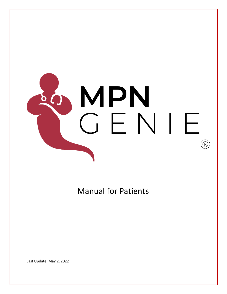

# Manual for Patients

Last Update: May 2, 2022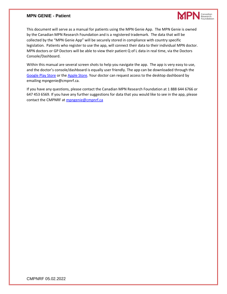#### **MPN GENIE - Patient**



This document will serve as a manual for patients using the MPN Genie App. The MPN Genie is owned by the Canadian MPN Research Foundation and is a registered trademark. The data that will be collected by the "MPN Genie App" will be securely stored in compliance with country specific legislation. Patients who register to use the app, will connect their data to their individual MPN doctor. MPN doctors or GP Doctors will be able to view their patient Q of L data in real time, via the Doctors Console/Dashboard.

Within this manual are several screen shots to help you navigate the app. The app is very easy to use, and the doctor's console/dashboard is equally user friendly. The app can be downloaded through the [Google Play Store](about:blank) or the [Apple Store.](about:blank) Your doctor can request access to the desktop dashboard by emailing mpngenie@cmpnrf.ca.

If you have any questions, please contact the Canadian MPN Research Foundation at 1 888 644 6766 or 647 453 6569. If you have any further suggestions for data that you would like to see in the app, please contact the CMPNRF at [mpngenie@cmpnrf.ca](about:blank)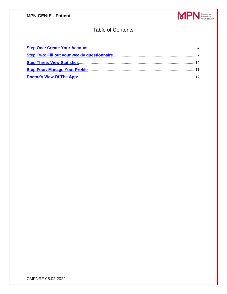

## **Table of Contents**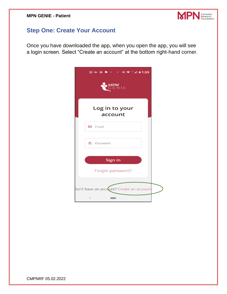

# <span id="page-3-0"></span>**Step One: Create Your Account**

Once you have downloaded the app, when you open the app, you will see a login screen. Select "Create an account" at the bottom right-hand corner.

| SO MPN                                   |
|------------------------------------------|
| Log in to your<br>account                |
| $\Box$ Email                             |
| <b>A</b> Password                        |
| Sign in                                  |
| Forgot password?                         |
| Don't have an account? Create an account |
| $\,<$                                    |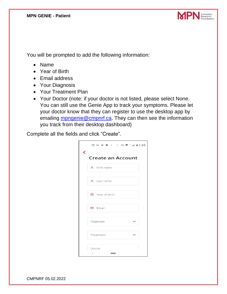

You will be prompted to add the following information:

- Name
- Year of Birth
- Email address
- Your Diagnosis
- Your Treatment Plan
- Your Doctor (note: if your doctor is not listed, please select None. You can still use the Genie App to track your symptoms. Please let your doctor know that they can register to use the desktop app by emailing [mpngenie@cmpnrf.ca.](about:blank) They can then see the information you track from their desktop dashboard)

Complete all the fields and click "Create".

|   | 31) Tety 中 单 → → 中 ◆ LTE⊿ 自1:25 |  |
|---|---------------------------------|--|
| ≺ | <b>Create an Account</b>        |  |
|   | 8 First name                    |  |
|   | 8 Last name                     |  |
|   | □ Year of Birth                 |  |
|   | $\Box$ Email                    |  |
|   | Diagnosis                       |  |
|   | Treatment                       |  |
|   | Doctor<br>$\,<$                 |  |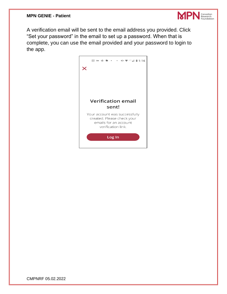

A verification email will be sent to the email address you provided. Click "Set your password" in the email to set up a password. When that is complete, you can use the email provided and your password to login to the app.

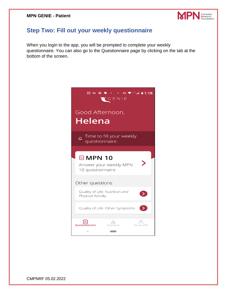

### <span id="page-6-0"></span>**Step Two: Fill out your weekly questionnaire**

When you login to the app, you will be prompted to complete your weekly questionnaire. You can also go to the Questionnaire page by clicking on the tab at the bottom of the screen.

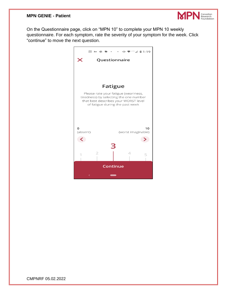#### **MPN GENIE - Patient**



On the Questionnaire page, click on "MPN 10" to complete your MPN 10 weekly questionnaire. For each symptom, rate the severity of your symptom for the week. Click "continue" to move the next question.

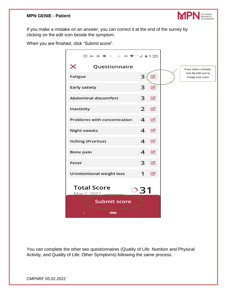

If you make a mistake on an answer, you can correct it at the end of the survey by clicking on the edit icon beside the symptom.

When you are finished, click "Submit score".

| Questionnaire<br>$\mathbb Z$<br>3<br>$\mathbb Z$<br>3<br>3<br>$\boxtimes$<br>$\overline{2}$<br>$\mathbb Z$<br>4<br>$\mathbb{Z}$<br>4<br>$\boxtimes$<br>$\overline{\mathbf{4}}$<br>$\mathbb Z$<br>4<br>$\mathbb Z$<br>3<br>$\mathbb Z$<br>1<br>$\mathbb Z$<br><b>Submit score</b> |                                    |  |
|----------------------------------------------------------------------------------------------------------------------------------------------------------------------------------------------------------------------------------------------------------------------------------|------------------------------------|--|
|                                                                                                                                                                                                                                                                                  |                                    |  |
|                                                                                                                                                                                                                                                                                  | ✕                                  |  |
|                                                                                                                                                                                                                                                                                  | <b>Fatigue</b>                     |  |
|                                                                                                                                                                                                                                                                                  | <b>Early satiety</b>               |  |
|                                                                                                                                                                                                                                                                                  | <b>Abdominal discomfort</b>        |  |
|                                                                                                                                                                                                                                                                                  | Inactivity                         |  |
|                                                                                                                                                                                                                                                                                  | <b>Problems with concentration</b> |  |
|                                                                                                                                                                                                                                                                                  | <b>Night sweats</b>                |  |
|                                                                                                                                                                                                                                                                                  | <b>Itching (Pruritus)</b>          |  |
|                                                                                                                                                                                                                                                                                  | Bone pain                          |  |
|                                                                                                                                                                                                                                                                                  | Fever                              |  |
|                                                                                                                                                                                                                                                                                  | <b>Unintentional weight loss</b>   |  |
|                                                                                                                                                                                                                                                                                  | <b>Total Score</b><br>May 2, 2022  |  |
|                                                                                                                                                                                                                                                                                  |                                    |  |
|                                                                                                                                                                                                                                                                                  | く                                  |  |

You can complete the other two questionnaires (Quality of Life: Nutrition and Physical Activity, and Quality of Life: Other Symptoms) following the same process.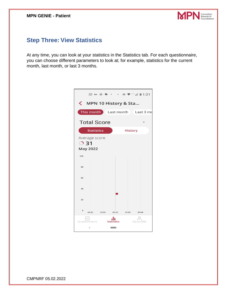

## <span id="page-9-0"></span>**Step Three: View Statistics**

At any time, you can look at your statistics in the Statistics tab. For each questionnaire, you can choose different parameters to look at; for example, statistics for the current month, last month, or last 3 months.

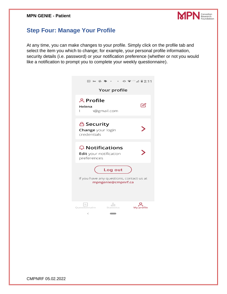

### <span id="page-10-0"></span>**Step Four: Manage Your Profile**

At any time, you can make changes to your profile. Simply click on the profile tab and select the item you which to change; for example, your personal profile information, security details (i.e. password) or your notification preference (whether or not you would like a notification to prompt you to complete your weekly questionnaire).

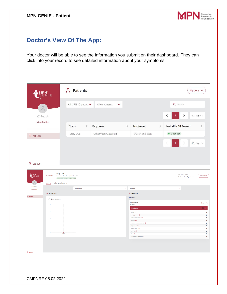

# <span id="page-11-0"></span>**Doctor's View Of The App:**

Your doctor will be able to see the information you submit on their dashboard. They can click into your record to see detailed information about your symptoms.

|                                  | 1 E                         | <b>A</b> Patients                                                                                                             |              |                                |                       |                                                             |                                                                  | Options V                                        |                               |
|----------------------------------|-----------------------------|-------------------------------------------------------------------------------------------------------------------------------|--------------|--------------------------------|-----------------------|-------------------------------------------------------------|------------------------------------------------------------------|--------------------------------------------------|-------------------------------|
|                                  |                             | All MPN 10 answ v                                                                                                             |              | All treatments<br>$\checkmark$ |                       |                                                             |                                                                  | Q Search                                         |                               |
| CA Petruk<br><b>View Profile</b> |                             |                                                                                                                               |              |                                |                       |                                                             |                                                                  | $\rightarrow$<br>10 / page $\vee$<br>$\,<\,$     |                               |
|                                  |                             | Name                                                                                                                          | $\hat{\div}$ | <b>Diagnosis</b>               | $\frac{\Delta}{\Psi}$ | <b>Treatment</b>                                            | $\stackrel{\scriptscriptstyle\triangle}{\scriptscriptstyle\vee}$ | Last MPN 10 Answer                               | ÷                             |
| $\Box$ Patients                  |                             | Suzy Que                                                                                                                      |              | Other/Non Classified           |                       | Watch and Wait                                              |                                                                  | $\bullet$ 0 day ago                              |                               |
|                                  |                             |                                                                                                                               |              |                                |                       |                                                             |                                                                  | $\lt$<br>$\rightarrow$<br>10 / page $\vee$       |                               |
|                                  |                             |                                                                                                                               |              |                                |                       |                                                             |                                                                  |                                                  |                               |
|                                  |                             |                                                                                                                               |              |                                |                       |                                                             |                                                                  |                                                  |                               |
| $\rightarrow$ Log out            |                             |                                                                                                                               |              |                                |                       |                                                             |                                                                  |                                                  |                               |
| <b>WPN</b>                       | < Patients<br><b>MPN 10</b> | <b>Suzy Que</b><br>Other/Non Classified   Watch and Wait<br>• Last MPN 10 answer on 26/04/2022<br><b>Other Questionnaires</b> |              |                                |                       |                                                             |                                                                  | Year of Birth: 1965<br>Email: capetruk@gmail.com | Options $\smallsmile$         |
| CA Petruk<br><b>View Profile</b> |                             | Last 3 Months                                                                                                                 |              |                                | $\checkmark$          | Total score                                                 |                                                                  | $\ddotmark$                                      |                               |
|                                  | <b><i>d</i></b> Statistics  |                                                                                                                               |              |                                |                       | <b><i>d</i></b> History                                     |                                                                  |                                                  |                               |
| $\overline{\Theta}$ Patients     | $\bigcirc$ 0 Average score  |                                                                                                                               |              |                                |                       | <b>This Month</b><br>April 26 2022                          |                                                                  |                                                  |                               |
|                                  |                             |                                                                                                                               |              |                                |                       | 09:22 am<br><b>Total Score</b>                              |                                                                  |                                                  | Close $\wedge$<br>$\mathbf 0$ |
|                                  |                             |                                                                                                                               |              |                                |                       | Fatigue <sup>@</sup>                                        |                                                                  |                                                  | $\pmb{0}$                     |
|                                  |                             |                                                                                                                               |              |                                |                       | Filing up quickly $@$<br>Abdominal discomfort <sup>@</sup>  |                                                                  |                                                  | $\pmb{0}$<br>$\mathbf 0$      |
|                                  |                             |                                                                                                                               |              |                                |                       | Inactivity ®<br>Problems with concentration (?)             |                                                                  |                                                  | $\mathbf 0$<br>$\mathbf 0$    |
|                                  |                             |                                                                                                                               |              |                                |                       | Night sweats <sup>®</sup><br>Itching (Pruntus) <sup>@</sup> |                                                                  |                                                  | $\pmb{0}$<br>$\mathbf 0$      |
|                                  |                             | 24/4                                                                                                                          |              |                                |                       | Bone pain <sup>®</sup><br>Fever ®                           |                                                                  |                                                  | $\mathbf 0$<br>$\mathbf 0$    |
|                                  |                             |                                                                                                                               |              |                                |                       | Unintentional weight loss $\circledcirc$                    |                                                                  |                                                  | $\pmb{0}$                     |
|                                  |                             |                                                                                                                               |              |                                |                       |                                                             |                                                                  |                                                  |                               |
|                                  |                             |                                                                                                                               |              |                                |                       |                                                             |                                                                  |                                                  |                               |
|                                  |                             |                                                                                                                               |              |                                |                       |                                                             |                                                                  |                                                  |                               |